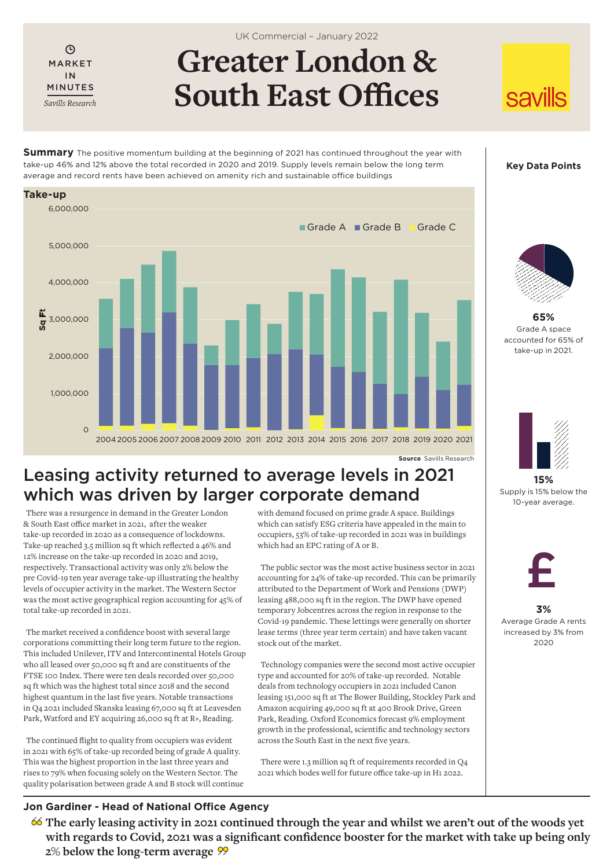$\odot$ MARKET IN MINUTES *Savills Research* UK Commercial – January 2022

# **Greater London & South East Offices**

**Summary** The positive momentum building at the beginning of 2021 has continued throughout the year with take-up 46% and 12% above the total recorded in 2020 and 2019. Supply levels remain below the long term average and record rents have been achieved on amenity rich and sustainable office buildings



 **Source** Savills Research

## Leasing activity returned to average levels in 2021 which was driven by larger corporate demand

There was a resurgence in demand in the Greater London & South East office market in 2021, after the weaker take-up recorded in 2020 as a consequence of lockdowns. Take-up reached 3.5 million sq ft which reflected a 46% and 12% increase on the take-up recorded in 2020 and 2019, respectively. Transactional activity was only 2% below the pre Covid-19 ten year average take-up illustrating the healthy levels of occupier activity in the market. The Western Sector was the most active geographical region accounting for 45% of total take-up recorded in 2021.

The market received a confidence boost with several large corporations committing their long term future to the region. This included Unilever, ITV and Intercontinental Hotels Group who all leased over 50,000 sq ft and are constituents of the FTSE 100 Index. There were ten deals recorded over 50,000 sq ft which was the highest total since 2018 and the second highest quantum in the last five years. Notable transactions in Q4 2021 included Skanska leasing 67,000 sq ft at Leavesden Park, Watford and EY acquiring 26,000 sq ft at R+, Reading.

The continued flight to quality from occupiers was evident in 2021 with 65% of take-up recorded being of grade A quality. This was the highest proportion in the last three years and rises to 79% when focusing solely on the Western Sector. The quality polarisation between grade A and B stock will continue with demand focused on prime grade A space. Buildings which can satisfy ESG criteria have appealed in the main to occupiers, 53% of take-up recorded in 2021 was in buildings which had an EPC rating of A or B.

The public sector was the most active business sector in 2021 accounting for 24% of take-up recorded. This can be primarily attributed to the Department of Work and Pensions (DWP) leasing 488,000 sq ft in the region. The DWP have opened temporary Jobcentres across the region in response to the Covid-19 pandemic. These lettings were generally on shorter lease terms (three year term certain) and have taken vacant stock out of the market.

Technology companies were the second most active occupier type and accounted for 20% of take-up recorded. Notable deals from technology occupiers in 2021 included Canon leasing 151,000 sq ft at The Bower Building, Stockley Park and Amazon acquiring 49,000 sq ft at 400 Brook Drive, Green Park, Reading. Oxford Economics forecast 9% employment growth in the professional, scientific and technology sectors across the South East in the next five years.

There were 1.3 million sq ft of requirements recorded in Q4 2021 which bodes well for future office take-up in H1 2022.



**Key Data Points**

savills



**65%** Grade A space accounted for 65% of take-up in 2021.



**15%** Supply is 15% below the 10-year average.



**3%** Average Grade A rents increased by 3% from 2020

## **Jon Gardiner - Head of National Office Agency**

**The early leasing activity in 2021 continued through the year and whilst we aren't out of the woods yet with regards to Covid, 2021 was a significant confidence booster for the market with take up being only 2% below the long-term average**